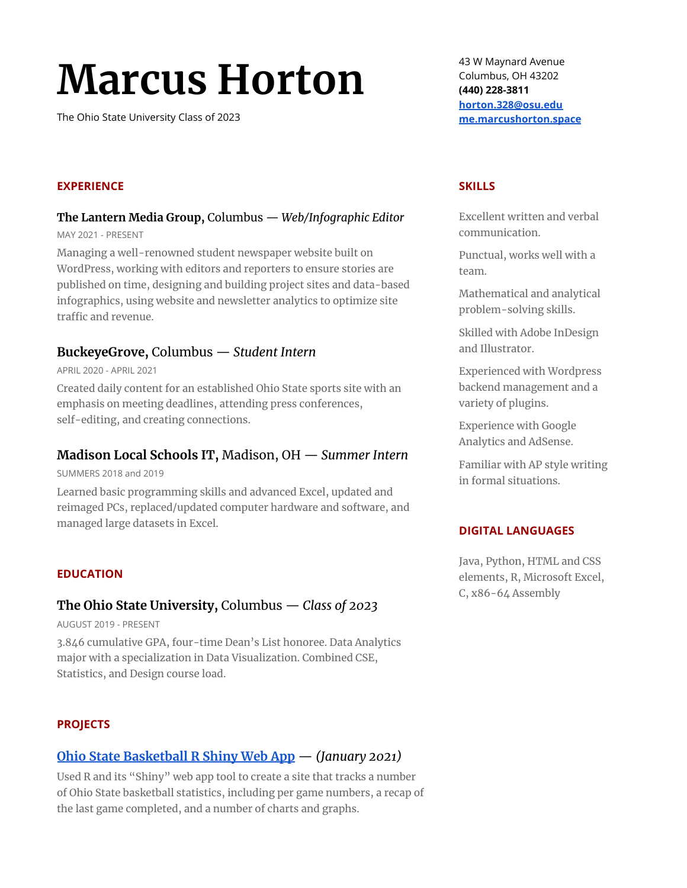# **Marcus Horton**

The Ohio State University Class of 2023

#### **EXPERIENCE**

#### **The Lantern Media Group,** Columbus — *Web/Infographic Editor* MAY 2021 - PRESENT

Managing a well-renowned student newspaper website built on WordPress, working with editors and reporters to ensure stories are published on time, designing and building project sites and data-based infographics, using website and newsletter analytics to optimize site traffic and revenue.

## **BuckeyeGrove,** Columbus — *Student Intern*

APRIL 2020 - APRIL 2021

Created daily content for an established Ohio State sports site with an emphasis on meeting deadlines, attending press conferences, self-editing, and creating connections.

## **Madison Local Schools IT,** Madison, OH — *Summer Intern*

SUMMERS 2018 and 2019

Learned basic programming skills and advanced Excel, updated and reimaged PCs, replaced/updated computer hardware and software, and managed large datasets in Excel.

#### **EDUCATION**

## **The Ohio State University,** Columbus — *Class of 2023*

AUGUST 2019 - PRESENT

3.846 cumulative GPA, four-time Dean's List honoree. Data Analytics major with a specialization in Data Visualization. Combined CSE, Statistics, and Design course load.

#### **PROJECTS**

## **Ohio State [Basketball](https://marcushorton.shinyapps.io/OSU_MBB/) R Shiny Web App** — *(January 2021)*

Used R and its "Shiny" web app tool to create a site that tracks a number of Ohio State basketball statistics, including per game numbers, a recap of the last game completed, and a number of charts and graphs.

43 W Maynard Avenue Columbus, OH 43202 **(440) 228-3811 [horton.328@osu.edu](mailto:horton.328@osu.edu) [me.marcushorton.space](http://me.marcushorton.space/)**

#### **SKILLS**

Excellent written and verbal communication.

Punctual, works well with a team.

Mathematical and analytical problem-solving skills.

Skilled with Adobe InDesign and Illustrator.

Experienced with Wordpress backend management and a variety of plugins.

Experience with Google Analytics and AdSense.

Familiar with AP style writing in formal situations.

#### **DIGITAL LANGUAGES**

Java, Python, HTML and CSS elements, R, Microsoft Excel, C, x86-64 Assembly